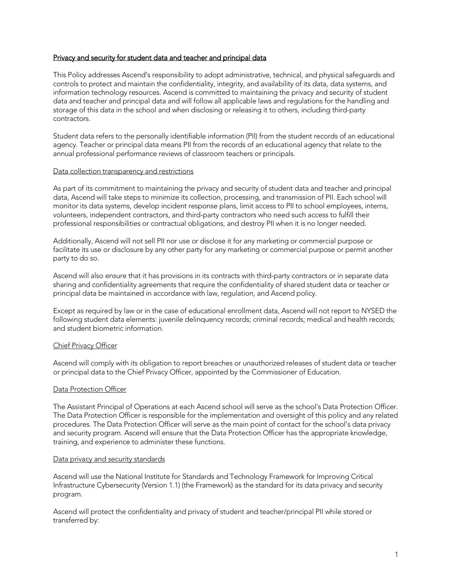# Privacy and security for student data and teacher and principal data

This Policy addresses Ascend's responsibility to adopt administrative, technical, and physical safeguards and controls to protect and maintain the confidentiality, integrity, and availability of its data, data systems, and information technology resources. Ascend is committed to maintaining the privacy and security of student data and teacher and principal data and will follow all applicable laws and regulations for the handling and storage of this data in the school and when disclosing or releasing it to others, including third-party contractors.

Student data refers to the personally identifiable information (PII) from the student records of an educational agency. Teacher or principal data means PII from the records of an educational agency that relate to the annual professional performance reviews of classroom teachers or principals.

## Data collection transparency and restrictions

As part of its commitment to maintaining the privacy and security of student data and teacher and principal data, Ascend will take steps to minimize its collection, processing, and transmission of PII. Each school will monitor its data systems, develop incident response plans, limit access to PII to school employees, interns, volunteers, independent contractors, and third-party contractors who need such access to fulfill their professional responsibilities or contractual obligations, and destroy PII when it is no longer needed.

Additionally, Ascend will not sell PII nor use or disclose it for any marketing or commercial purpose or facilitate its use or disclosure by any other party for any marketing or commercial purpose or permit another party to do so.

Ascend will also ensure that it has provisions in its contracts with third-party contractors or in separate data sharing and confidentiality agreements that require the confidentiality of shared student data or teacher or principal data be maintained in accordance with law, regulation, and Ascend policy.

Except as required by law or in the case of educational enrollment data, Ascend will not report to NYSED the following student data elements: juvenile delinguency records; criminal records; medical and health records; and student biometric information.

## Chief Privacy Officer

Ascend will comply with its obligation to report breaches or unauthorized releases of student data or teacher or principal data to the Chief Privacy Officer, appointed by the Commissioner of Education.

## Data Protection Officer

The Assistant Principal of Operations at each Ascend school will serve as the school's Data Protection Officer. The Data Protection Officer is responsible for the implementation and oversight of this policy and any related procedures. The Data Protection Officer will serve as the main point of contact for the school's data privacy and security program. Ascend will ensure that the Data Protection Officer has the appropriate knowledge, training, and experience to administer these functions.

## Data privacy and security standards

Ascend will use the National Institute for Standards and Technology Framework for Improving Critical Infrastructure Cybersecurity (Version 1.1) (the Framework) as the standard for its data privacy and security program.

Ascend will protect the confidentiality and privacy of student and teacher/principal PII while stored or transferred by: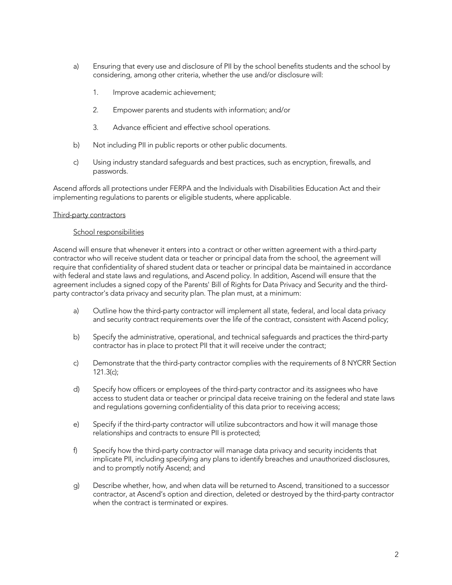- a) Ensuring that every use and disclosure of PII by the school benefits students and the school by considering, among other criteria, whether the use and/or disclosure will:
	- 1. Improve academic achievement;
	- 2. Empower parents and students with information; and/or
	- 3. Advance efficient and effective school operations.
- b) Not including PII in public reports or other public documents.
- c) Using industry standard safeguards and best practices, such as encryption, firewalls, and passwords.

Ascend affords all protections under FERPA and the Individuals with Disabilities Education Act and their implementing regulations to parents or eligible students, where applicable.

## Third-party contractors

## School responsibilities

Ascend will ensure that whenever it enters into a contract or other written agreement with a third-party contractor who will receive student data or teacher or principal data from the school, the agreement will require that confidentiality of shared student data or teacher or principal data be maintained in accordance with federal and state laws and regulations, and Ascend policy. In addition, Ascend will ensure that the agreement includes a signed copy of the Parents' Bill of Rights for Data Privacy and Security and the thirdparty contractor's data privacy and security plan. The plan must, at a minimum:

- a) Outline how the third-party contractor will implement all state, federal, and local data privacy and security contract requirements over the life of the contract, consistent with Ascend policy;
- b) Specify the administrative, operational, and technical safeguards and practices the third-party contractor has in place to protect PII that it will receive under the contract;
- c) Demonstrate that the third-party contractor complies with the requirements of 8 NYCRR Section 121.3(c);
- d) Specify how officers or employees of the third-party contractor and its assignees who have access to student data or teacher or principal data receive training on the federal and state laws and regulations governing confidentiality of this data prior to receiving access;
- e) Specify if the third-party contractor will utilize subcontractors and how it will manage those relationships and contracts to ensure PII is protected;
- f) Specify how the third-party contractor will manage data privacy and security incidents that implicate PII, including specifying any plans to identify breaches and unauthorized disclosures, and to promptly notify Ascend; and
- g) Describe whether, how, and when data will be returned to Ascend, transitioned to a successor contractor, at Ascend's option and direction, deleted or destroyed by the third-party contractor when the contract is terminated or expires.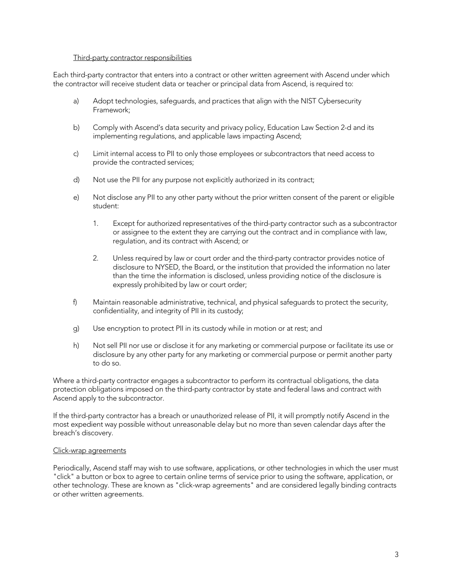#### Third-party contractor responsibilities

Each third-party contractor that enters into a contract or other written agreement with Ascend under which the contractor will receive student data or teacher or principal data from Ascend, is required to:

- a) Adopt technologies, safeguards, and practices that align with the NIST Cybersecurity Framework;
- b) Comply with Ascend's data security and privacy policy, Education Law Section 2-d and its implementing regulations, and applicable laws impacting Ascend;
- c) Limit internal access to PII to only those employees or subcontractors that need access to provide the contracted services;
- d) Not use the PII for any purpose not explicitly authorized in its contract;
- e) Not disclose any PII to any other party without the prior written consent of the parent or eligible student:
	- 1. Except for authorized representatives of the third-party contractor such as a subcontractor or assignee to the extent they are carrying out the contract and in compliance with law, regulation, and its contract with Ascend; or
	- 2. Unless required by law or court order and the third-party contractor provides notice of disclosure to NYSED, the Board, or the institution that provided the information no later than the time the information is disclosed, unless providing notice of the disclosure is expressly prohibited by law or court order;
- f) Maintain reasonable administrative, technical, and physical safeguards to protect the security, confidentiality, and integrity of PII in its custody;
- g) Use encryption to protect PII in its custody while in motion or at rest; and
- h) Not sell PII nor use or disclose it for any marketing or commercial purpose or facilitate its use or disclosure by any other party for any marketing or commercial purpose or permit another party to do so.

Where a third-party contractor engages a subcontractor to perform its contractual obligations, the data protection obligations imposed on the third-party contractor by state and federal laws and contract with Ascend apply to the subcontractor.

If the third-party contractor has a breach or unauthorized release of PII, it will promptly notify Ascend in the most expedient way possible without unreasonable delay but no more than seven calendar days after the breach's discovery.

## Click-wrap agreements

Periodically, Ascend staff may wish to use software, applications, or other technologies in which the user must "click" a button or box to agree to certain online terms of service prior to using the software, application, or other technology. These are known as "click-wrap agreements" and are considered legally binding contracts or other written agreements.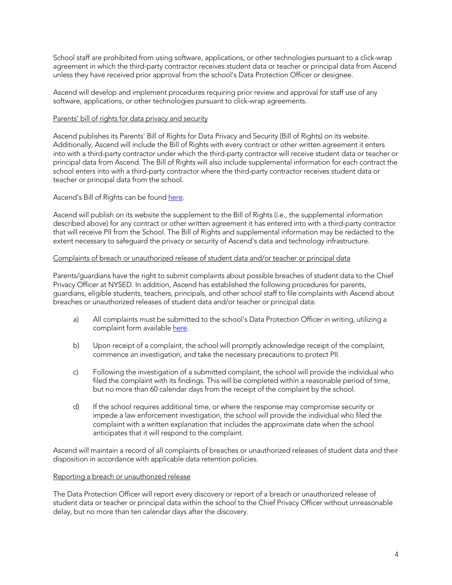School staff are prohibited from using software, applications, or other technologies pursuant to a click-wrap agreement in which the third-party contractor receives student data or teacher or principal data from Ascend unless they have received prior approval from the school's Data Protection Officer or designee.

Ascend will develop and implement procedures requiring prior review and approval for staff use of any software, applications, or other technologies pursuant to click-wrap agreements.

# Parents' bill of rights for data privacy and security

Ascend publishes its Parents' Bill of Rights for Data Privacy and Security (Bill of Rights) on its website. Additionally, Ascend will include the Bill of Rights with every contract or other written agreement it enters into with a third-party contractor under which the third-party contractor will receive student data or teacher or principal data from Ascend. The Bill of Rights will also include supplemental information for each contract the school enters into with a third-party contractor where the third-party contractor receives student data or teacher or principal data from the school.

Ascend's Bill of Rights can be found here.

Ascend will publish on its website the supplement to the Bill of Rights (i.e., the supplemental information described above) for any contract or other written agreement it has entered into with a third-party contractor that will receive PII from the School. The Bill of Rights and supplemental information may be redacted to the extent necessary to safeguard the privacy or security of Ascend's data and technology infrastructure.

## Complaints of breach or unauthorized release of student data and/or teacher or principal data

Parents/guardians have the right to submit complaints about possible breaches of student data to the Chief Privacy Officer at NYSED. In addition, Ascend has established the following procedures for parents, guardians, eligible students, teachers, principals, and other school staff to file complaints with Ascend about breaches or unauthorized releases of student data and/or teacher or principal data:

- a) All complaints must be submitted to the school's Data Protection Officer in writing, utilizing a complaint form available [here.](https://docs.google.com/document/d/1_XpqZ8NTXcykmAwO2iLtVw6pSpuQPYWuKzF4KkxDUeU/edit?usp=sharing)
- b) Upon receipt of a complaint, the school will promptly acknowledge receipt of the complaint, commence an investigation, and take the necessary precautions to protect PII.
- c) Following the investigation of a submitted complaint, the school will provide the individual who filed the complaint with its findings. This will be completed within a reasonable period of time, but no more than 60 calendar days from the receipt of the complaint by the school.
- d) If the school requires additional time, or where the response may compromise security or impede a law enforcement investigation, the school will provide the individual who filed the complaint with a written explanation that includes the approximate date when the school anticipates that it will respond to the complaint.

Ascend will maintain a record of all complaints of breaches or unauthorized releases of student data and their disposition in accordance with applicable data retention policies.

# Reporting a breach or unauthorized release

The Data Protection Officer will report every discovery or report of a breach or unauthorized release of student data or teacher or principal data within the school to the Chief Privacy Officer without unreasonable delay, but no more than ten calendar days after the discovery.